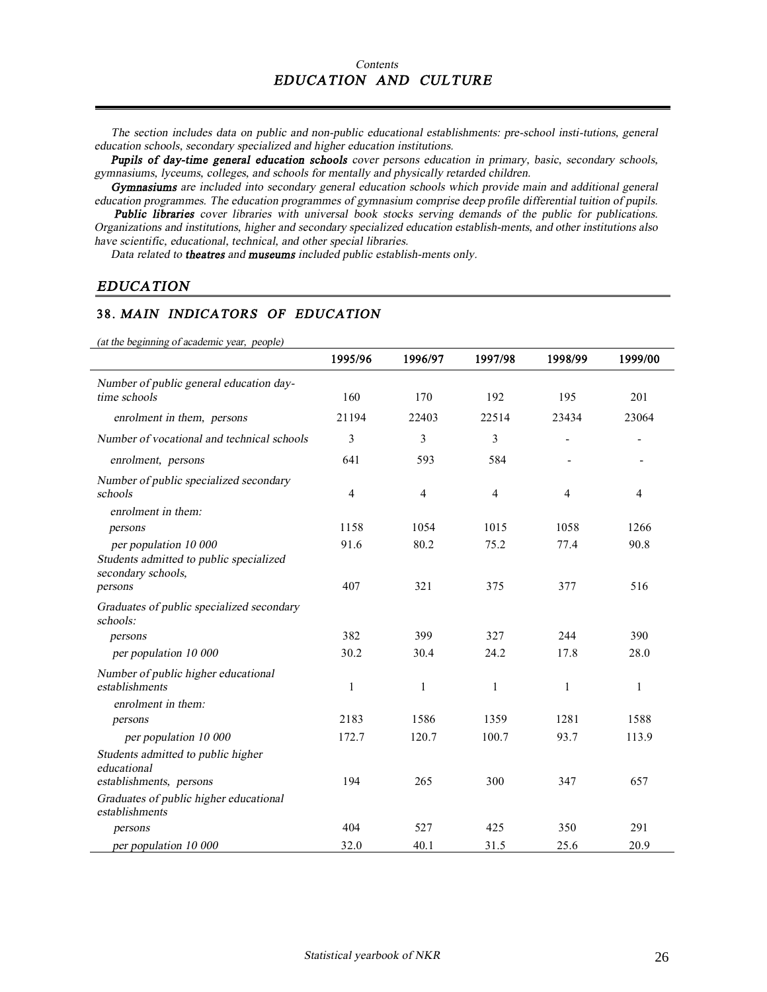*The section includes data on public and non-public educational establishments: pre-school insti-tutions, general education schools, secondary specialized and higher education institutions.* 

*Pupils of day-time general education schools cover persons education in primary, basic, secondary schools, gymnasiums, lyceums, colleges, and schools for mentally and physically retarded children.* 

*Gymnasiums are included into secondary general education schools which provide main and additional general education programmes. The education programmes of gymnasium comprise deep profile differential tuition of pupils.*

 *Public libraries cover libraries with universal book stocks serving demands of the public for publications. Organizations and institutions, higher and secondary specialized education establish-ments, and other institutions also have scientific, educational, technical, and other special libraries.* 

*Data related to theatres and museums included public establish-ments only.* 

#### *EDUCATION*

#### **38.** *MAIN INDICATORS OF EDUCATION*

*(at the beginning of academic year, people)*

| at the <i>beginning</i> of academic year, people              | 1995/96        | 1996/97        | 1997/98        | 1998/99 | 1999/00 |
|---------------------------------------------------------------|----------------|----------------|----------------|---------|---------|
| Number of public general education day-                       |                |                |                |         |         |
| time schools                                                  | 160            | 170            | 192            | 195     | 201     |
| enrolment in them, persons                                    | 21194          | 22403          | 22514          | 23434   | 23064   |
| Number of vocational and technical schools                    | 3              | 3              | 3              |         |         |
| enrolment, persons                                            | 641            | 593            | 584            |         |         |
| Number of public specialized secondary<br>schools             | $\overline{4}$ | $\overline{4}$ | $\overline{4}$ | 4       | 4       |
| enrolment in them:                                            |                |                |                |         |         |
| persons                                                       | 1158           | 1054           | 1015           | 1058    | 1266    |
| per population 10 000                                         | 91.6           | 80.2           | 75.2           | 77.4    | 90.8    |
| Students admitted to public specialized<br>secondary schools, |                |                |                |         |         |
| persons                                                       | 407            | 321            | 375            | 377     | 516     |
| Graduates of public specialized secondary<br>schools:         |                |                |                |         |         |
| persons                                                       | 382            | 399            | 327            | 244     | 390     |
| per population 10 000                                         | 30.2           | 30.4           | 24.2           | 17.8    | 28.0    |
| Number of public higher educational<br>establishments         | 1              | 1              | 1              | 1       | 1       |
| enrolment in them:                                            |                |                |                |         |         |
| persons                                                       | 2183           | 1586           | 1359           | 1281    | 1588    |
| per population 10 000                                         | 172.7          | 120.7          | 100.7          | 93.7    | 113.9   |
| Students admitted to public higher<br>educational             |                |                |                |         |         |
| establishments, persons                                       | 194            | 265            | 300            | 347     | 657     |
| Graduates of public higher educational<br>establishments      |                |                |                |         |         |
| persons                                                       | 404            | 527            | 425            | 350     | 291     |
| per population 10 000                                         | 32.0           | 40.1           | 31.5           | 25.6    | 20.9    |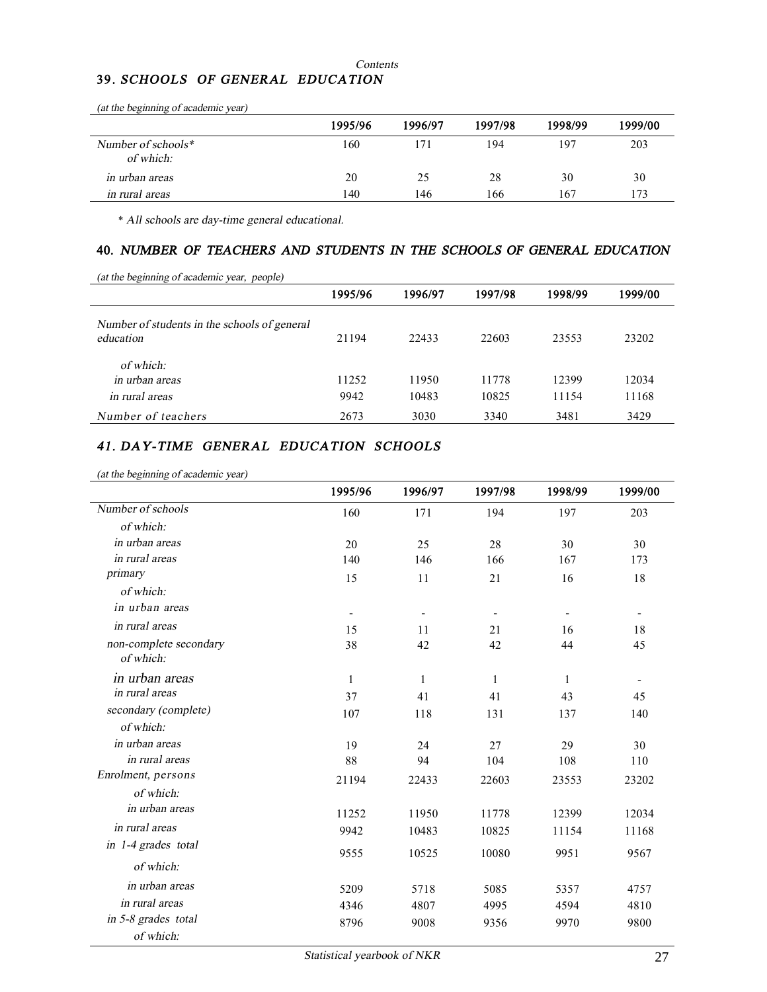#### *Contents*

# **39.** *SCHOOLS OF GENERAL EDUCATION*

| $(a)$ and $o$ explaning of academic year) |         |         |         |         |         |
|-------------------------------------------|---------|---------|---------|---------|---------|
|                                           | 1995/96 | 1996/97 | 1997/98 | 1998/99 | 1999/00 |
| Number of schools $*$<br>of which:        | 160     |         | 194     | 197     | 203     |
| <i>in urban areas</i>                     | 20      | 25      | 28      | 30      | 30      |
| in rural areas                            | 140     | 146     | 166     | 167     | 173     |

*(at the beginning of academic year)* 

\* *All schools are day-time general educational.*

#### **40.** *NUMBER OF TEACHERS AND STUDENTS IN THE SCHOOLS OF GENERAL EDUCATION*

|                                                           | 1995/96 | 1996/97 | 1997/98 | 1998/99 | 1999/00 |
|-----------------------------------------------------------|---------|---------|---------|---------|---------|
| Number of students in the schools of general<br>education | 21194   | 22433   | 22603   | 23553   | 23202   |
| of which:                                                 |         |         |         |         |         |
| in urban areas                                            | 11252   | 11950   | 11778   | 12399   | 12034   |
| in rural areas                                            | 9942    | 10483   | 10825   | 11154   | 11168   |
| Number of teachers                                        | 2673    | 3030    | 3340    | 3481    | 3429    |

## *41. DAY-TIME GENERAL EDUCATION SCHOOLS*

*(at the beginning of academic year)*

|                        | 1995/96                  | 1996/97      | 1997/98 | 1998/99                  | 1999/00 |
|------------------------|--------------------------|--------------|---------|--------------------------|---------|
| Number of schools      | 160                      | 171          | 194     | 197                      | 203     |
| of which:              |                          |              |         |                          |         |
| in urban areas         | 20                       | 25           | 28      | 30                       | 30      |
| in rural areas         | 140                      | 146          | 166     | 167                      | 173     |
| primary                | 15                       | 11           | 21      | 16                       | 18      |
| of which:              |                          |              |         |                          |         |
| in urban areas         | $\overline{\phantom{a}}$ |              |         | $\overline{\phantom{a}}$ |         |
| in rural areas         | 15                       | 11           | 21      | 16                       | 18      |
| non-complete secondary | 38                       | 42           | 42      | 44                       | 45      |
| of which:              |                          |              |         |                          |         |
| in urban areas         | 1                        | $\mathbf{1}$ | 1       | 1                        |         |
| in rural areas         | 37                       | 41           | 41      | 43                       | 45      |
| secondary (complete)   | 107                      | 118          | 131     | 137                      | 140     |
| of which:              |                          |              |         |                          |         |
| in urban areas         | 19                       | 24           | 27      | 29                       | 30      |
| in rural areas         | 88                       | 94           | 104     | 108                      | 110     |
| Enrolment, persons     | 21194                    | 22433        | 22603   | 23553                    | 23202   |
| of which:              |                          |              |         |                          |         |
| in urban areas         | 11252                    | 11950        | 11778   | 12399                    | 12034   |
| in rural areas         | 9942                     | 10483        | 10825   | 11154                    | 11168   |
| in 1-4 grades total    | 9555                     | 10525        | 10080   | 9951                     | 9567    |
| of which:              |                          |              |         |                          |         |
| in urban areas         | 5209                     | 5718         | 5085    | 5357                     | 4757    |
| in rural areas         | 4346                     | 4807         | 4995    | 4594                     | 4810    |
| in 5-8 grades total    | 8796                     | 9008         | 9356    | 9970                     | 9800    |
| of which:              |                          |              |         |                          |         |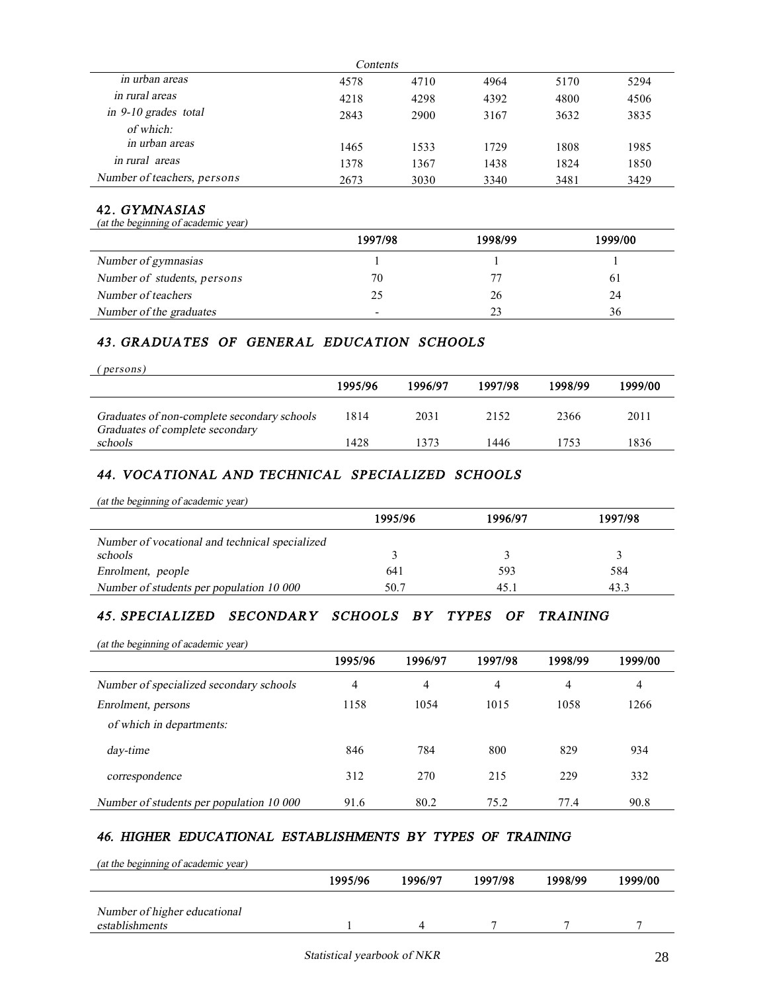| Contents                    |      |      |      |      |      |  |  |
|-----------------------------|------|------|------|------|------|--|--|
| in urban areas              | 4578 | 4710 | 4964 | 5170 | 5294 |  |  |
| in rural areas              | 4218 | 4298 | 4392 | 4800 | 4506 |  |  |
| in $9-10$ grades total      | 2843 | 2900 | 3167 | 3632 | 3835 |  |  |
| of which:                   |      |      |      |      |      |  |  |
| in urban areas              | 1465 | 1533 | 1729 | 1808 | 1985 |  |  |
| in rural areas              | 1378 | 1367 | 1438 | 1824 | 1850 |  |  |
| Number of teachers, persons | 2673 | 3030 | 3340 | 3481 | 3429 |  |  |

#### **42.** *GYMNASIAS*

*(at the beginning of academic year)*

|                             | 1997/98                  | 1998/99 | 1999/00      |
|-----------------------------|--------------------------|---------|--------------|
| Number of gymnasias         |                          |         |              |
| Number of students, persons | 70                       |         | <sup>6</sup> |
| Number of teachers          | 25                       | 26      | 24           |
| Number of the graduates     | $\overline{\phantom{a}}$ | 23      | 36           |

### *43. GRADUATES OF GENERAL EDUCATION SCHOOLS*

| (persons)                                                                      |         |         |         |         |         |
|--------------------------------------------------------------------------------|---------|---------|---------|---------|---------|
|                                                                                | 1995/96 | 1996/97 | 1997/98 | 1998/99 | 1999/00 |
| Graduates of non-complete secondary schools<br>Graduates of complete secondary | 1814    | 2031    | 2152    | 2366    | 2011    |
| schools                                                                        | 1428    | 1373    | 1446    | 1753    | 1836    |

# *44. VOCATIONAL AND TECHNICAL SPECIALIZED SCHOOLS*

| (at the beginning of academic year)            |         |         |         |
|------------------------------------------------|---------|---------|---------|
|                                                | 1995/96 | 1996/97 | 1997/98 |
| Number of vocational and technical specialized |         |         |         |
| schools                                        |         |         |         |
| Enrolment, people                              | 641     | 593     | 584     |
| Number of students per population 10 000       | 50.7    | 45.1    | 43.3    |

# *45. SPECIALIZED SECONDARY SCHOOLS BY TYPES OF TRAINING*

*(at the beginning of academic year)*  **1995/96 1996/97 1997/98 1998/99 1999/00**  *Aumber* of *specialized secondary schools*  $\begin{array}{cccc} 4 & 4 & 4 & 4 \end{array}$ *Enrolment, persons* 1158 1054 1015 1058 1266

| <i>Enrolment, persons</i>                | 1 1 2 8 | 1054 | 1912 | 1 U D 8 | 1 200 |
|------------------------------------------|---------|------|------|---------|-------|
| of which in departments:                 |         |      |      |         |       |
| day-time                                 | 846     | 784  | 800  | 829     | 934   |
| correspondence                           | 312     | 270  | 215  | 229     | 332   |
| Number of students per population 10 000 | 91.6    | 80.2 | 75.2 | 77.4    | 90.8  |

#### *46. HIGHER EDUCATIONAL ESTABLISHMENTS BY TYPES OF TRAINING*

| (at the beginning of academic year) |         |         |         |         |         |
|-------------------------------------|---------|---------|---------|---------|---------|
|                                     | 1995/96 | 1996/97 | 1997/98 | 1998/99 | 1999/00 |
| Number of higher educational        |         |         |         |         |         |
| establishments                      |         |         |         |         |         |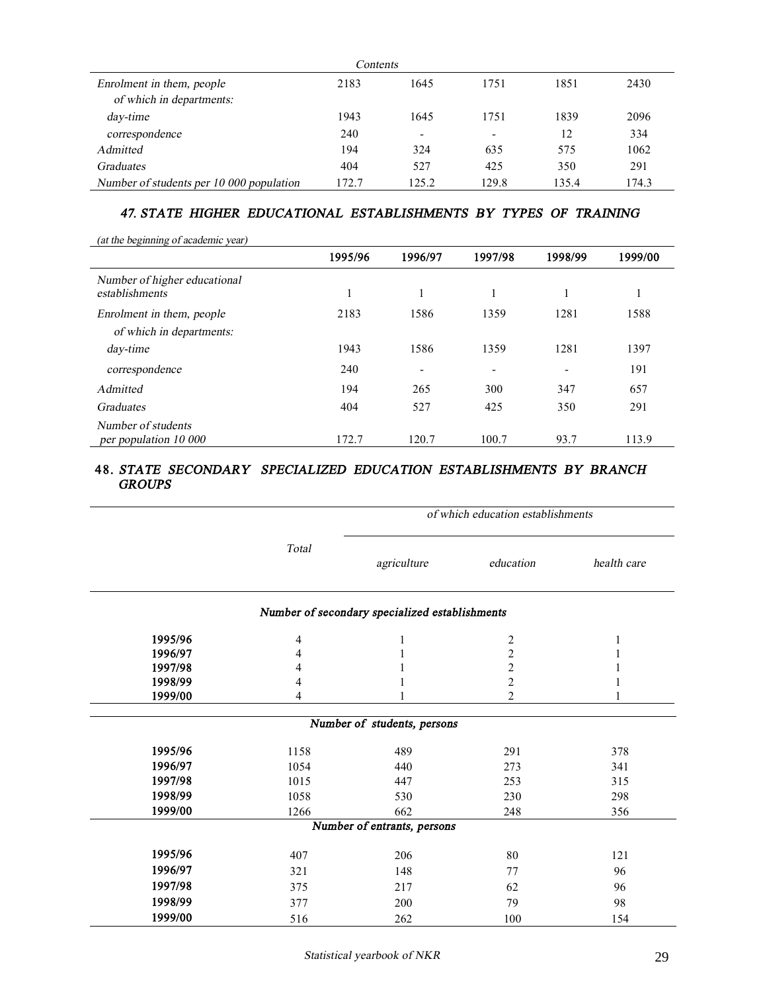| Contents                                 |       |                          |       |       |       |  |  |
|------------------------------------------|-------|--------------------------|-------|-------|-------|--|--|
| Enrolment in them, people                | 2183  | 1645                     | 1751  | 1851  | 2430  |  |  |
| of which in departments:                 |       |                          |       |       |       |  |  |
| day-time                                 | 1943  | 1645                     | 1751  | 1839  | 2096  |  |  |
| correspondence                           | 240   | $\overline{\phantom{a}}$ | -     | 12    | 334   |  |  |
| Admitted                                 | 194   | 324                      | 635   | 575   | 1062  |  |  |
| <b>Graduates</b>                         | 404   | 527                      | 425   | 350   | 291   |  |  |
| Number of students per 10 000 population | 172.7 | 125.2                    | 129.8 | 135.4 | 174.3 |  |  |

## *47. STATE HIGHER EDUCATIONAL ESTABLISHMENTS BY TYPES OF TRAINING*

| (at the beginning of academic year)            |         |                          |                          |                          |         |
|------------------------------------------------|---------|--------------------------|--------------------------|--------------------------|---------|
|                                                | 1995/96 | 1996/97                  | 1997/98                  | 1998/99                  | 1999/00 |
| Number of higher educational<br>establishments |         | 1                        |                          |                          |         |
| Enrolment in them, people                      | 2183    | 1586                     | 1359                     | 1281                     | 1588    |
| of which in departments:                       |         |                          |                          |                          |         |
| day-time                                       | 1943    | 1586                     | 1359                     | 1281                     | 1397    |
| correspondence                                 | 240     | $\overline{\phantom{a}}$ | $\overline{\phantom{a}}$ | $\overline{\phantom{0}}$ | 191     |
| Admitted                                       | 194     | 265                      | 300                      | 347                      | 657     |
| <b>Graduates</b>                               | 404     | 527                      | 425                      | 350                      | 291     |
| Number of students<br>per population 10 000    | 172.7   | 120.7                    | 100.7                    | 93.7                     | 113.9   |

#### **48.** *STATE SECONDARY SPECIALIZED EDUCATION ESTABLISHMENTS BY BRANCH GROUPS*

|         |                |                                                | of which education establishments |             |
|---------|----------------|------------------------------------------------|-----------------------------------|-------------|
|         | Total          |                                                | education                         | health care |
|         |                | Number of secondary specialized establishments |                                   |             |
| 1995/96 | $\overline{4}$ |                                                | 2                                 |             |
| 1996/97 | 4              |                                                | $\overline{c}$                    |             |
| 1997/98 | 4              |                                                | $\overline{c}$                    |             |
| 1998/99 | 4              |                                                | $\overline{c}$                    |             |
| 1999/00 | 4              |                                                | 2                                 |             |
|         |                | Number of students, persons                    |                                   |             |
| 1995/96 | 1158           | 489                                            | 291                               | 378         |
| 1996/97 | 1054           | 440                                            | 273                               | 341         |
| 1997/98 | 1015           | 447                                            | 253                               | 315         |
| 1998/99 | 1058           | 530                                            | 230                               | 298         |
| 1999/00 | 1266           | 662                                            | 248                               | 356         |
|         |                | Number of entrants, persons                    |                                   |             |
| 1995/96 | 407            | 206                                            | 80                                | 121         |
| 1996/97 | 321            | 148                                            | 77                                | 96          |
| 1997/98 | 375            | 217                                            | 62                                | 96          |
| 1998/99 | 377            | 200                                            | 79                                | 98          |
| 1999/00 | 516            | 262                                            | 100                               | 154         |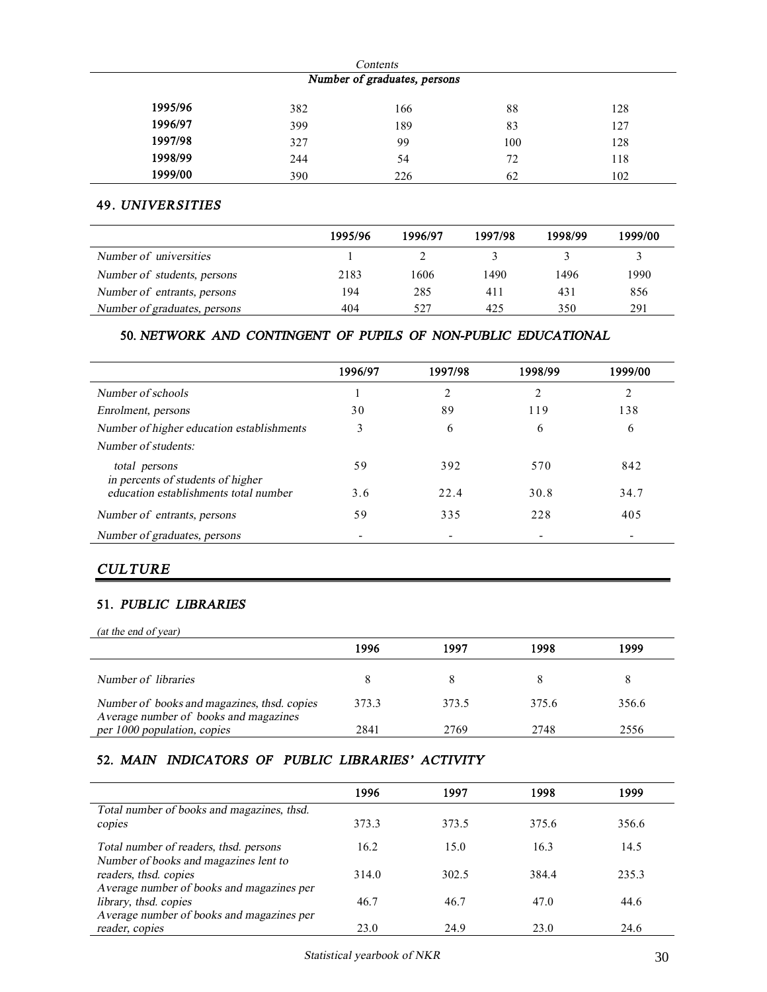| Contents                     |     |     |     |     |  |  |  |
|------------------------------|-----|-----|-----|-----|--|--|--|
| Number of graduates, persons |     |     |     |     |  |  |  |
| 1995/96                      | 382 | 166 | 88  | 128 |  |  |  |
| 1996/97                      | 399 | 189 | 83  | 127 |  |  |  |
| 1997/98                      | 327 | 99  | 100 | 128 |  |  |  |
| 1998/99                      | 244 | 54  | 72  | 118 |  |  |  |
| 1999/00                      | 390 | 226 | 62  | 102 |  |  |  |

#### **49.** *UNIVERSITIES*

|                              | 1995/96 | 1996/97 | 1997/98 | 1998/99 | 1999/00 |
|------------------------------|---------|---------|---------|---------|---------|
| Number of universities       |         |         |         |         |         |
| Number of students, persons  | 2183    | 1606    | 1490    | 1496    | 1990    |
| Number of entrants, persons  | 194     | 285     | 411     | 431     | 856     |
| Number of graduates, persons | 404     | 527     | 425     | 350     | 291     |

### **50.** *NETWORK AND CONTINGENT OF PUPILS OF NON-PUBLIC EDUCATIONAL*

|                                                    | 1996/97                  | 1997/98 | 1998/99 | 1999/00 |
|----------------------------------------------------|--------------------------|---------|---------|---------|
| Number of schools                                  |                          |         | ↑       | ↑       |
| Enrolment, persons                                 | 30                       | 89      | 119     | 138     |
| Number of higher education establishments          | 3                        | 6       | 6       | 6       |
| Number of students:                                |                          |         |         |         |
| total persons<br>in percents of students of higher | 59                       | 392     | 570     | 842     |
| education establishments total number              | 3.6                      | 22.4    | 30.8    | 34.7    |
| Number of entrants, persons                        | 59                       | 335     | 228     | 405     |
| Number of graduates, persons                       | $\overline{\phantom{0}}$ |         |         |         |

# *CULTURE*

#### **51.** *PUBLIC LIBRARIES*

| (at the end of year)                                                                 |       |       |       |       |
|--------------------------------------------------------------------------------------|-------|-------|-------|-------|
|                                                                                      | 1996  | 1997  | 1998  | 1999  |
| Number of libraries                                                                  |       |       |       |       |
| Number of books and magazines, thsd. copies<br>Average number of books and magazines | 373.3 | 373.5 | 375.6 | 356.6 |
| per 1000 population, copies                                                          | 2841  | 2769  | 2748  | 2556  |

## **52.** *MAIN INDICATORS OF PUBLIC LIBRARIES' ACTIVITY*

|                                            | 1996  | 1997  | 1998  | 1999  |
|--------------------------------------------|-------|-------|-------|-------|
| Total number of books and magazines, thsd. |       |       |       |       |
| copies                                     | 373.3 | 373.5 | 375.6 | 356.6 |
| Total number of readers, thsd. persons     | 16.2  | 15.0  | 16.3  | 14.5  |
| Number of books and magazines lent to      |       |       |       |       |
| readers, thsd. copies                      | 314.0 | 302.5 | 384.4 | 235.3 |
| Average number of books and magazines per  |       |       |       |       |
| library, thsd. copies                      | 46.7  | 46.7  | 47.0  | 44.6  |
| Average number of books and magazines per  |       |       |       |       |
| reader, copies                             | 23.0  | 24.9  | 23.0  | 24.6  |